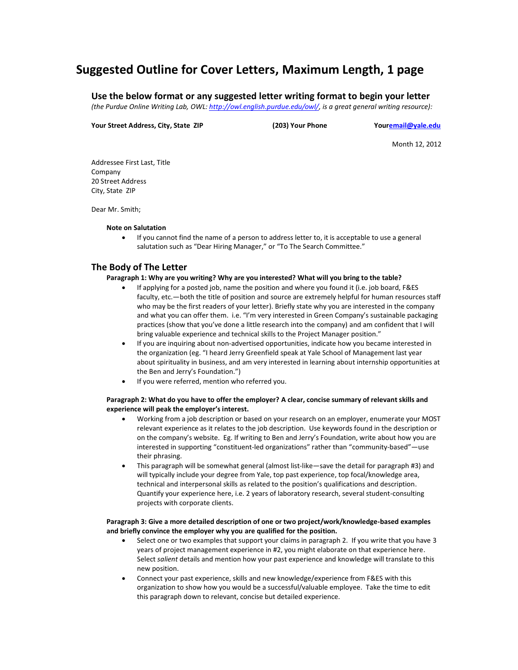# **Suggested Outline for Cover Letters, Maximum Length, 1 page**

**Use the below format or any suggested letter writing format to begin your letter** *(the Purdue Online Writing Lab, OWL[: http://owl.english.purdue.edu/owl/,](http://owl.english.purdue.edu/owl/) is a great general writing resource):*

**Your Street Address, City, State ZIP (203) Your Phone You[remail@yale.edu](mailto:email@yale.edu)**

Month 12, 2012

Addressee First Last, Title Company 20 Street Address City, State ZIP

Dear Mr. Smith;

#### **Note on Salutation**

• If you cannot find the name of a person to address letter to, it is acceptable to use a general salutation such as "Dear Hiring Manager," or "To The Search Committee."

# **The Body of The Letter**

## **Paragraph 1: Why are you writing? Why are you interested? What will you bring to the table?**

- If applying for a posted job, name the position and where you found it (i.e. job board, F&ES faculty, etc.—both the title of position and source are extremely helpful for human resources staff who may be the first readers of your letter). Briefly state why you are interested in the company and what you can offer them. i.e. "I'm very interested in Green Company's sustainable packaging practices (show that you've done a little research into the company) and am confident that I will bring valuable experience and technical skills to the Project Manager position."
- If you are inquiring about non-advertised opportunities, indicate how you became interested in the organization (eg. "I heard Jerry Greenfield speak at Yale School of Management last year about spirituality in business, and am very interested in learning about internship opportunities at the Ben and Jerry's Foundation.")
- If you were referred, mention who referred you.

## **Paragraph 2: What do you have to offer the employer? A clear, concise summary of relevant skills and experience will peak the employer's interest.**

- Working from a job description or based on your research on an employer, enumerate your MOST relevant experience as it relates to the job description. Use keywords found in the description or on the company's website. Eg. If writing to Ben and Jerry's Foundation, write about how you are interested in supporting "constituent-led organizations" rather than "community-based"—use their phrasing.
- This paragraph will be somewhat general (almost list-like—save the detail for paragraph #3) and will typically include your degree from Yale, top past experience, top focal/knowledge area, technical and interpersonal skills as related to the position's qualifications and description. Quantify your experience here, i.e. 2 years of laboratory research, several student-consulting projects with corporate clients.

## **Paragraph 3: Give a more detailed description of one or two project/work/knowledge-based examples and briefly convince the employer why you are qualified for the position.**

- Select one or two examples that support your claims in paragraph 2. If you write that you have 3 years of project management experience in #2, you might elaborate on that experience here. Select *salient* details and mention how your past experience and knowledge will translate to this new position.
- Connect your past experience, skills and new knowledge/experience from F&ES with this organization to show how you would be a successful/valuable employee. Take the time to edit this paragraph down to relevant, concise but detailed experience.